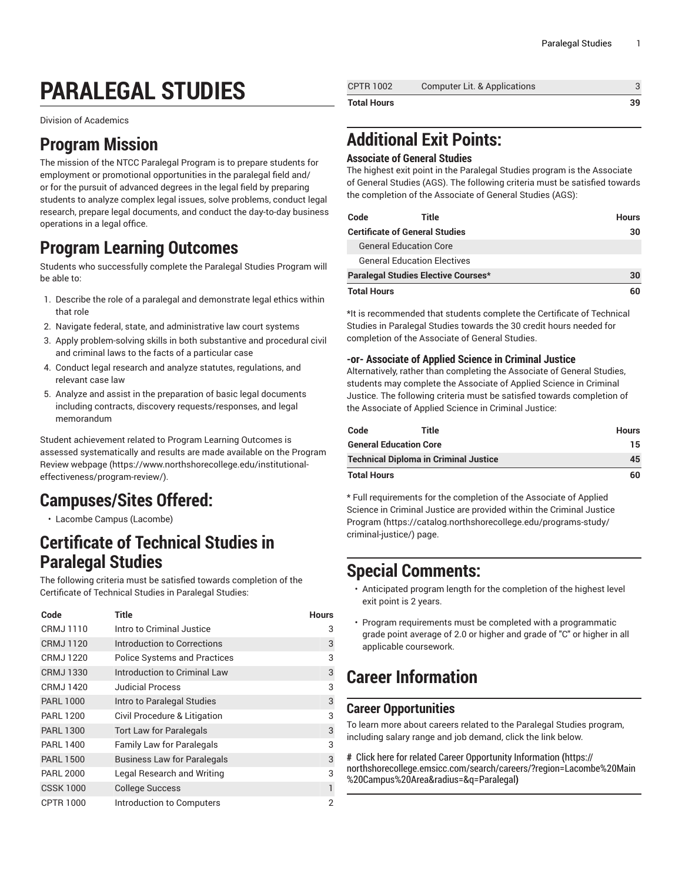# **PARALEGAL STUDIES**

Division of Academics

### **Program Mission**

The mission of the NTCC Paralegal Program is to prepare students for employment or promotional opportunities in the paralegal field and/ or for the pursuit of advanced degrees in the legal field by preparing students to analyze complex legal issues, solve problems, conduct legal research, prepare legal documents, and conduct the day-to-day business operations in a legal office.

## **Program Learning Outcomes**

Students who successfully complete the Paralegal Studies Program will be able to:

- 1. Describe the role of a paralegal and demonstrate legal ethics within that role
- 2. Navigate federal, state, and administrative law court systems
- 3. Apply problem-solving skills in both substantive and procedural civil and criminal laws to the facts of a particular case
- 4. Conduct legal research and analyze statutes, regulations, and relevant case law
- 5. Analyze and assist in the preparation of basic legal documents including contracts, discovery requests/responses, and legal memorandum

Student achievement related to Program Learning Outcomes is assessed systematically and results are made available on the [Program](https://www.northshorecollege.edu/institutional-effectiveness/program-review/) Review [webpage](https://www.northshorecollege.edu/institutional-effectiveness/program-review/) ([https://www.northshorecollege.edu/institutional](https://www.northshorecollege.edu/institutional-effectiveness/program-review/)[effectiveness/program-review/\)](https://www.northshorecollege.edu/institutional-effectiveness/program-review/).

# **Campuses/Sites Offered:**

• Lacombe Campus (Lacombe)

### **Certificate of Technical Studies in Paralegal Studies**

The following criteria must be satisfied towards completion of the Certificate of Technical Studies in Paralegal Studies:

| Code             | Title                               | <b>Hours</b>   |
|------------------|-------------------------------------|----------------|
| CRMJ 1110        | Intro to Criminal Justice           | 3              |
| CRMJ 1120        | Introduction to Corrections         | 3              |
| <b>CRMJ1220</b>  | <b>Police Systems and Practices</b> | 3              |
| <b>CRMJ1330</b>  | Introduction to Criminal Law        | 3              |
| CRMJ 1420        | <b>Judicial Process</b>             | 3              |
| <b>PARL 1000</b> | Intro to Paralegal Studies          | 3              |
| <b>PARL 1200</b> | Civil Procedure & Litigation        | 3              |
| <b>PARL 1300</b> | <b>Tort Law for Paralegals</b>      | 3              |
| <b>PARL 1400</b> | <b>Family Law for Paralegals</b>    | 3              |
| <b>PARL 1500</b> | <b>Business Law for Paralegals</b>  | 3              |
| <b>PARL 2000</b> | Legal Research and Writing          | 3              |
| <b>CSSK 1000</b> | <b>College Success</b>              | 1              |
| <b>CPTR 1000</b> | Introduction to Computers           | $\overline{2}$ |

| <b>Total Hours</b> |                              | 39 |
|--------------------|------------------------------|----|
| <b>CPTR 1002</b>   | Computer Lit. & Applications |    |

# **Additional Exit Points:**

#### **Associate of General Studies**

The highest exit point in the Paralegal Studies program is the Associate of General Studies (AGS). The following criteria must be satisfied towards the completion of the Associate of General Studies (AGS):

| Code                                | Title                              | <b>Hours</b> |
|-------------------------------------|------------------------------------|--------------|
| Certificate of General Studies      |                                    | 30           |
|                                     | <b>General Education Core</b>      |              |
|                                     | <b>General Education Electives</b> |              |
| Paralegal Studies Elective Courses* |                                    | 30           |
| Total Hours                         |                                    | 60           |

\*It is recommended that students complete the Certificate of Technical Studies in Paralegal Studies towards the 30 credit hours needed for completion of the Associate of General Studies.

#### **-or- Associate of Applied Science in Criminal Justice**

Alternatively, rather than completing the Associate of General Studies, students may complete the Associate of Applied Science in Criminal Justice. The following criteria must be satisfied towards completion of the Associate of Applied Science in Criminal Justice:

| Code                                         | Title | <b>Hours</b> |
|----------------------------------------------|-------|--------------|
| <b>General Education Core</b>                | 15    |              |
| <b>Technical Diploma in Criminal Justice</b> | 45    |              |
| <b>Total Hours</b>                           |       | 60           |

\* Full requirements for the completion of the Associate of Applied Science in Criminal Justice are provided within the [Criminal Justice](https://catalog.northshorecollege.edu/programs-study/criminal-justice/) [Program](https://catalog.northshorecollege.edu/programs-study/criminal-justice/) [\(https://catalog.northshorecollege.edu/programs-study/](https://catalog.northshorecollege.edu/programs-study/criminal-justice/) [criminal-justice/\)](https://catalog.northshorecollege.edu/programs-study/criminal-justice/) page.

### **Special Comments:**

- Anticipated program length for the completion of the highest level exit point is 2 years.
- Program requirements must be completed with a programmatic grade point average of 2.0 or higher and grade of "C" or higher in all applicable coursework.

# **Career Information**

#### **Career Opportunities**

To learn more about careers related to the Paralegal Studies program, including salary range and job demand, click the link below.

**#** Click here for related Career [Opportunity](https://northshorecollege.emsicc.com/search/careers/?region=Lacombe%20Main%20Campus%20Area&radius=&q=Paralegal) Information **(**[https://](https://northshorecollege.emsicc.com/search/careers/?region=Lacombe%20Main%20Campus%20Area&radius=&q=Paralegal) [northshorecollege.emsicc.com/search/careers/?region=Lacombe%20Main](https://northshorecollege.emsicc.com/search/careers/?region=Lacombe%20Main%20Campus%20Area&radius=&q=Paralegal) [%20Campus%20Area&radius=&q=Paralegal](https://northshorecollege.emsicc.com/search/careers/?region=Lacombe%20Main%20Campus%20Area&radius=&q=Paralegal)**)**